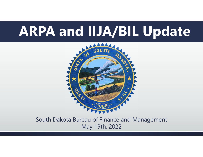## **ARPA and IIJA/BIL Update**



South Dakota Bureau of Finance and Management May 19th, 2022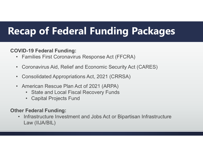### **Recap of Federal Funding Packages**

#### **COVID-19 Federal Funding:**

- Families First Coronavirus Response Act (FFCRA)
- •Coronavirus Aid, Relief and Economic Security Act (CARES)
- •Consolidated Appropriations Act, 2021 (CRRSA)
- • American Rescue Plan Act of 2021 (ARPA)
	- •State and Local Fiscal Recovery Funds
	- Capital Projects Fund

#### **Other Federal Funding:**

• Infrastructure Investment and Jobs Act or Bipartisan Infrastructure Law (IIJA/BIL)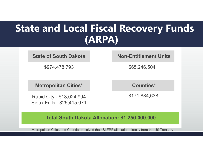# **State and Local Fiscal Recovery Funds (ARPA)**

#### **State of South Dakota Non-Entitlement Units**

\$974,478,793 \$65,246,504

**Metropolitan Cities\* Counties\***

Rapid City - \$13,024,994 Sioux Falls - \$25,415,071

\$171,834,638

**Total South Dakota Allocation: \$1,250,000,000**

\*Metropolitan Cities and Counties received their SLFRF allocation directly from the US Treasury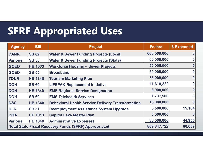### **SFRF Appropriated Uses**

| <b>Agency</b>                                                | <b>Bill</b>    | <b>Project</b>                                           | <b>Federal</b> | \$ Expended |
|--------------------------------------------------------------|----------------|----------------------------------------------------------|----------------|-------------|
| <b>DANR</b>                                                  | <b>SB 62</b>   | <b>Water &amp; Sewer Funding Projects (Local)</b>        | 600,000,000    |             |
| <b>Various</b>                                               | <b>SB 50</b>   | <b>Water &amp; Sewer Funding Projects (State)</b>        | 60,000,000     |             |
| <b>GOED</b>                                                  | <b>HB 1033</b> | <b>Workforce Housing - Sewer Projects</b>                | 50,000,000     |             |
| <b>GOED</b>                                                  | <b>SB 55</b>   | <b>Broadband</b>                                         | 50,000,000     | N           |
| <b>TOUR</b>                                                  | <b>HB 1340</b> | <b>Tourism Marketing Plan</b>                            | 35,000,000     |             |
| <b>DOH</b>                                                   | <b>SB 60</b>   | <b>LIFEPAK Replacement Initiative</b>                    | 11,610,222     |             |
| <b>DOH</b>                                                   | <b>HB 1340</b> | <b>EMS Regional Service Designation</b>                  | 8,000,000      | O           |
| <b>DOH</b>                                                   | <b>SB 60</b>   | <b>EMS Telehealth Services</b>                           | 1,737,500      |             |
| <b>DSS</b>                                                   | <b>HB 1340</b> | <b>Behavioral Health Service Delivery Transformation</b> | 15,000,000     |             |
| <b>DLR</b>                                                   | <b>SB 31</b>   | <b>Reemployment Assistance System Upgrade</b>            | 5,500,000      | 15,104      |
| <b>BOA</b>                                                   | <b>HB 1013</b> | <b>Capitol Lake Master Plan</b>                          | 3,000,000      |             |
| <b>Various</b>                                               | <b>HB 1340</b> | <b>Administrative Expenses</b>                           | 30,000,000     | 44,955      |
| <b>Total State Fiscal Recovery Funds (SFRF) Appropriated</b> |                |                                                          |                | 60,059      |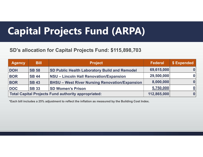### **Capital Projects Fund (ARPA)**

#### **SD's allocation for Capital Projects Fund: \$115,898,703**

| <b>Agency</b> | <b>Bill</b>                                         | <b>Project</b>                                        | <b>Federal</b> | \$ Expended |
|---------------|-----------------------------------------------------|-------------------------------------------------------|----------------|-------------|
| <b>DOH</b>    | <b>SB 58</b>                                        | <b>SD Public Health Laboratory Build and Remodel</b>  | 69,615,000     | 0           |
| <b>BOR</b>    | <b>SB 44</b>                                        | <b>NSU - Lincoln Hall Renovation/Expansion</b>        | 29,500,000     | 0           |
| <b>BOR</b>    | <b>SB 43</b>                                        | <b>BHSU - West River Nursing Renovation/Expansion</b> | 8,000,000      | 0           |
| <b>DOC</b>    | <b>SB 33</b>                                        | <b>SD Women's Prison</b>                              | 5,750,000      | 0           |
|               | Total Capital Projects Fund authority appropriated: | 112,865,000                                           | 0              |             |

**\*Each bill includes a 25% adjustment to reflect the inflation as measured by the Building Cost Index.**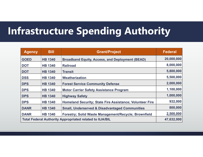### **Infrastructure Spending Authority**

| <b>Agency</b>                                                   | <b>Bill</b>    | <b>Grant/Project</b>                                      | <b>Federal</b> |
|-----------------------------------------------------------------|----------------|-----------------------------------------------------------|----------------|
| <b>GOED</b>                                                     | <b>HB 1340</b> | <b>Broadband Equity, Access, and Deployment (BEAD)</b>    | 20,000,000     |
| <b>DOT</b>                                                      | <b>HB 1340</b> | <b>Railroad</b>                                           | 8,000,000      |
| <b>DOT</b>                                                      | <b>HB 1340</b> | <b>Transit</b>                                            | 5,800,000      |
| <b>DSS</b>                                                      | <b>HB 1340</b> | Weatherization                                            | 5,500,000      |
| <b>DPS</b>                                                      | <b>HB 1340</b> | <b>Forest Service Community Defense</b>                   | 2,000,000      |
| <b>DPS</b>                                                      | <b>HB 1340</b> | <b>Motor Carrier Safety Assistance Program</b>            | 1,100,000      |
| <b>DPS</b>                                                      | <b>HB 1340</b> | <b>Highway Safety</b>                                     | 1,000,000      |
| <b>DPS</b>                                                      | <b>HB 1340</b> | Homeland Security; State Fire Assistance; Volunteer Fire  | 932,000        |
| <b>DANR</b>                                                     | <b>HB 1340</b> | <b>Small, Underserved &amp; Disadvantaged Communities</b> | 800,000        |
| <b>DANR</b>                                                     | <b>HB 1340</b> | Forestry; Solid Waste Management/Recycle; Brownfield      | 2,500,000      |
| <b>Total Federal Authority Appropriated related to IIJA/BIL</b> | 47,632,000     |                                                           |                |